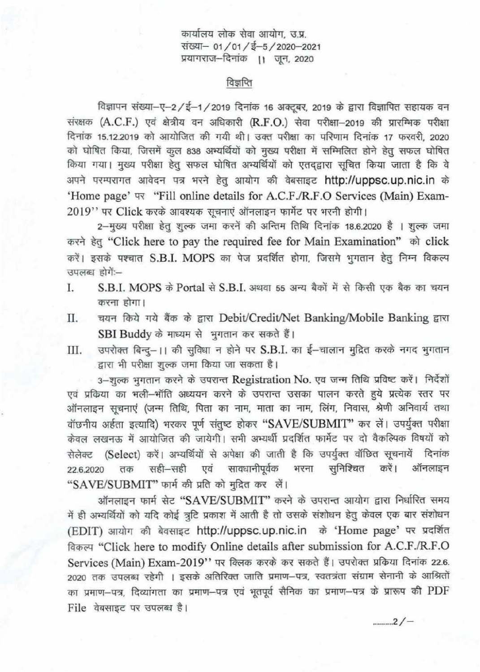कार्यालय लोक सेवा आयोग, उ.प्र. संख्या- 01/01/ई-5/2020-2021 प्रयागराज-दिनांक ।। जून, 2020

## विज्ञप्ति

विज्ञापन संख्या-ए-2/ई-1/2019 दिनांक 16 अक्टूबर, 2019 के द्वारा विज्ञापित सहायक वन संरक्षक (A.C.F.) एवं क्षेत्रीय वन अधिकारी (R.F.O.) सेवा परीक्षा-2019 की प्रारम्भिक परीक्षा दिनांक 15.12.2019 को आयोजित की गयी थी। उक्त परीक्षा का परिणाम दिनांक 17 फरवरी, 2020 दिनांक 15.12.2019 को आयोजित की गयी थी। उक्त परीक्षा का परिणाम दिनांक 17 फरवरी, 2020<br>को घोषित किया, जिसमें कुल 838 अभ्यर्थियों को मुख्य परीक्षा में सम्मिलित होने हेतु सफल घोषित को घोषित किया, जिसमें कुल 838 अभ्यर्थियों को मुख्य परीक्षा में सम्मिलित होने हेतु सफल घोषित<br>किया गया। मुख्य परीक्षा हेतु सफल घोषित अभ्यर्थियों को एतद्द्वारा सूचित किया जाता है कि वे किया गया। मुख्य परीक्षा हेतु सफल घोषित अभ्यर्थियों को एतद्द्वारा सूचित किया जाता है कि वे<br>अपने परम्परागत आवेदन पत्र भरने हेतु आयोग की वेबसाइट http://uppsc.up.nic.in के 'Home page'  $\overline{v}$  "Fill online details for A.C.F./R.F.O Services (Main) Exam-2019" पर Click करके आवश्यक सचनाएं ऑनलाइन फार्मेट पर भरनी होगी।

2-मुख्य परीक्षा हेतु शुल्क जमा करनें की अन्तिम तिथि दिनांक 18.6.2020 है । शुल्क जमा करने हेतु "Click here to pay the required fee for Main Examination" को click करें। इसके पश्चात S.B.I. MOPS का पेज प्रदर्शित होगा, जिसमे भुगतान हेतु निम्न विकल्प उपलब्ध होगें:--

- I. S.B.I. MOPS के Portal से S.B.I. अथवा 55 अन्य बैकों में से किसी एक बैक का चयन करना होगा।
- II. चयन किये गये बैंक के द्वारा Debit/Credit/Net Banking/Mobile Banking द्वारा SBI Buddy के माध्यम से भुगतान कर सकते हैं।
- III. उपरोक्त बिन्द्-।। की सुविधा न होने पर S.B.I. का ई-चालान मुद्रित करके नगद भुगतान द्वारा भी परीक्षा शुल्क जमा किया जा सकता है।

3-शुल्क भुगतान करने के उपरान्त Registration No. एव जन्म तिथि प्रविष्ट करें। निर्देशों एवं प्रकिया का भली-भॉति अध्ययन करने के उपरान्त उसका पालन करते हुये प्रत्येक स्तर पर ऑनलाइन सूचनाएं (जन्म तिथि, पिता का नाम, माता का नाम, लिंग, निवास, श्रेणी अनिवार्य तथा वॉछनीय अर्हता इत्यादि) भरकर पूर्ण संतुष्ट होकर "SAVE/SUBMIT" कर लें। उपर्युक्त परीक्षा वाछनाय अहता इत्यादि) मरकर पूर्ण सतुष्ट हाकर "SAVE/SOBMIT" कर लैं। उपयुवत परावा<br>केवल लखनऊ में आयोजित की जायेगी। सभी अभ्यर्थी प्रदर्शित फार्मेट पर दो वैकल्पिक विषयों को<br>सेलेक्ट (Select) करें। अभ्यर्थियों से अपेक्षा की जाती सेलेक्ट (Select) करें। अभ्यर्थियों से अपेक्षा की जाती है कि उपर्युक्त वॉछित सूचनायें दिनांक<br>22.6.2020 तक सही—सही एवं सावधानीपूर्वक भरना सुनिश्चित करें। ऑनलाइन "SAVE/SUBMIT" फार्म की प्रति को मुद्रित कर लें।

ऑनलाइन फार्म सेट "SAVE/SUBMIT" करने के उपरान्त आयोग द्वारा निर्धारित समय में ही अभ्यर्थियों को यदि कोई त्रूटि प्रकाश में आती है तो उसके संशोधन हेतु केवल एक बार संशोधन (EDIT) आयोग की बेवसाइट http://uppsc.up.nic.in के 'Home page' पर प्रदर्शित विकल्प "Click here to modify Online details after submission for A.C.F./R.F.O Services (Main) Exam-2019" पर क्लिक करके कर सकते हैं। उपरोक्त प्रकिया दिनांक 22.6. 2020 तक उपलब्ध रहेगी । इसके अतिरिक्त जाति प्रमाण-पत्र, स्वतत्रंता संग्राम सेनानी के आश्रितों *em* wnur- G?{, RC£~i <sup>l</sup>1ct 1 *em* w:nuT-G?{ ~ ~ ~ cnr wnur-'f?T ~ m'<iltJ Clft PDF File वेबसाइट पर उपलब्ध है।

.......... 2/-